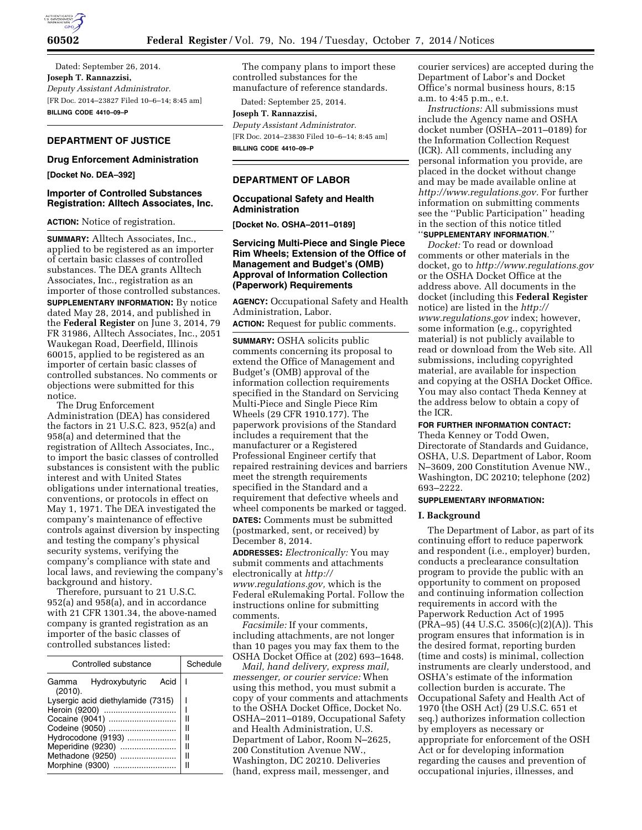

Dated: September 26, 2014. **Joseph T. Rannazzisi,**  *Deputy Assistant Administrator.*  [FR Doc. 2014–23827 Filed 10–6–14; 8:45 am] **BILLING CODE 4410–09–P** 

# **DEPARTMENT OF JUSTICE**

### **Drug Enforcement Administration**

**[Docket No. DEA–392]** 

## **Importer of Controlled Substances Registration: Alltech Associates, Inc.**

**ACTION:** Notice of registration.

**SUMMARY:** Alltech Associates, Inc., applied to be registered as an importer of certain basic classes of controlled substances. The DEA grants Alltech Associates, Inc., registration as an importer of those controlled substances. **SUPPLEMENTARY INFORMATION:** By notice dated May 28, 2014, and published in the **Federal Register** on June 3, 2014, 79 FR 31986, Alltech Associates, Inc., 2051 Waukegan Road, Deerfield, Illinois 60015, applied to be registered as an importer of certain basic classes of controlled substances. No comments or objections were submitted for this notice.

The Drug Enforcement Administration (DEA) has considered the factors in 21 U.S.C. 823, 952(a) and 958(a) and determined that the registration of Alltech Associates, Inc., to import the basic classes of controlled substances is consistent with the public interest and with United States obligations under international treaties, conventions, or protocols in effect on May 1, 1971. The DEA investigated the company's maintenance of effective controls against diversion by inspecting and testing the company's physical security systems, verifying the company's compliance with state and local laws, and reviewing the company's background and history.

Therefore, pursuant to 21 U.S.C. 952(a) and 958(a), and in accordance with 21 CFR 1301.34, the above-named company is granted registration as an importer of the basic classes of controlled substances listed:

| Controlled substance              |                |      | Schedule |
|-----------------------------------|----------------|------|----------|
| Gamma<br>(2010).                  | Hydroxybutyric | Acid |          |
| Lysergic acid diethylamide (7315) |                |      |          |
| Heroin (9200)                     |                |      |          |
|                                   |                |      |          |
| Codeine (9050)                    |                |      |          |
| Hydrocodone (9193)                |                |      | Ш        |
| Meperidine (9230)                 |                |      | Ш        |
| Methadone (9250)                  |                |      | Ш        |
| Morphine (9300)                   |                |      |          |

The company plans to import these controlled substances for the manufacture of reference standards.

Dated: September 25, 2014.

# **Joseph T. Rannazzisi,**

*Deputy Assistant Administrator.*  [FR Doc. 2014–23830 Filed 10–6–14; 8:45 am] **BILLING CODE 4410–09–P** 

# **DEPARTMENT OF LABOR**

### **Occupational Safety and Health Administration**

**[Docket No. OSHA–2011–0189]** 

# **Servicing Multi-Piece and Single Piece Rim Wheels; Extension of the Office of Management and Budget's (OMB) Approval of Information Collection (Paperwork) Requirements**

**AGENCY:** Occupational Safety and Health Administration, Labor.

**ACTION:** Request for public comments.

**SUMMARY:** OSHA solicits public comments concerning its proposal to extend the Office of Management and Budget's (OMB) approval of the information collection requirements specified in the Standard on Servicing Multi-Piece and Single Piece Rim Wheels (29 CFR 1910.177). The paperwork provisions of the Standard includes a requirement that the manufacturer or a Registered Professional Engineer certify that repaired restraining devices and barriers meet the strength requirements specified in the Standard and a requirement that defective wheels and wheel components be marked or tagged. **DATES:** Comments must be submitted (postmarked, sent, or received) by December 8, 2014.

**ADDRESSES:** *Electronically:* You may submit comments and attachments electronically at *[http://](http://www.regulations.gov) [www.regulations.gov,](http://www.regulations.gov)* which is the Federal eRulemaking Portal. Follow the instructions online for submitting comments.

*Facsimile:* If your comments, including attachments, are not longer than 10 pages you may fax them to the OSHA Docket Office at (202) 693–1648.

*Mail, hand delivery, express mail, messenger, or courier service:* When using this method, you must submit a copy of your comments and attachments to the OSHA Docket Office, Docket No. OSHA–2011–0189, Occupational Safety and Health Administration, U.S. Department of Labor, Room N–2625, 200 Constitution Avenue NW., Washington, DC 20210. Deliveries (hand, express mail, messenger, and

courier services) are accepted during the Department of Labor's and Docket Office's normal business hours, 8:15 a.m. to 4:45 p.m., e.t.

*Instructions:* All submissions must include the Agency name and OSHA docket number (OSHA–2011–0189) for the Information Collection Request (ICR). All comments, including any personal information you provide, are placed in the docket without change and may be made available online at *[http://www.regulations.gov.](http://www.regulations.gov)* For further information on submitting comments see the ''Public Participation'' heading in the section of this notice titled

# ''**SUPPLEMENTARY INFORMATION**.''

*Docket:* To read or download comments or other materials in the docket, go to *<http://www.regulations.gov>*  or the OSHA Docket Office at the address above. All documents in the docket (including this **Federal Register**  notice) are listed in the *[http://](http://www.regulations.gov) [www.regulations.gov](http://www.regulations.gov)* index; however, some information (e.g., copyrighted material) is not publicly available to read or download from the Web site. All submissions, including copyrighted material, are available for inspection and copying at the OSHA Docket Office. You may also contact Theda Kenney at the address below to obtain a copy of the ICR.

#### **FOR FURTHER INFORMATION CONTACT:**

Theda Kenney or Todd Owen, Directorate of Standards and Guidance, OSHA, U.S. Department of Labor, Room N–3609, 200 Constitution Avenue NW., Washington, DC 20210; telephone (202) 693–2222.

### **SUPPLEMENTARY INFORMATION:**

#### **I. Background**

The Department of Labor, as part of its continuing effort to reduce paperwork and respondent (i.e., employer) burden, conducts a preclearance consultation program to provide the public with an opportunity to comment on proposed and continuing information collection requirements in accord with the Paperwork Reduction Act of 1995 (PRA–95) (44 U.S.C. 3506(c)(2)(A)). This program ensures that information is in the desired format, reporting burden (time and costs) is minimal, collection instruments are clearly understood, and OSHA's estimate of the information collection burden is accurate. The Occupational Safety and Health Act of 1970 (the OSH Act) (29 U.S.C. 651 et seq.) authorizes information collection by employers as necessary or appropriate for enforcement of the OSH Act or for developing information regarding the causes and prevention of occupational injuries, illnesses, and